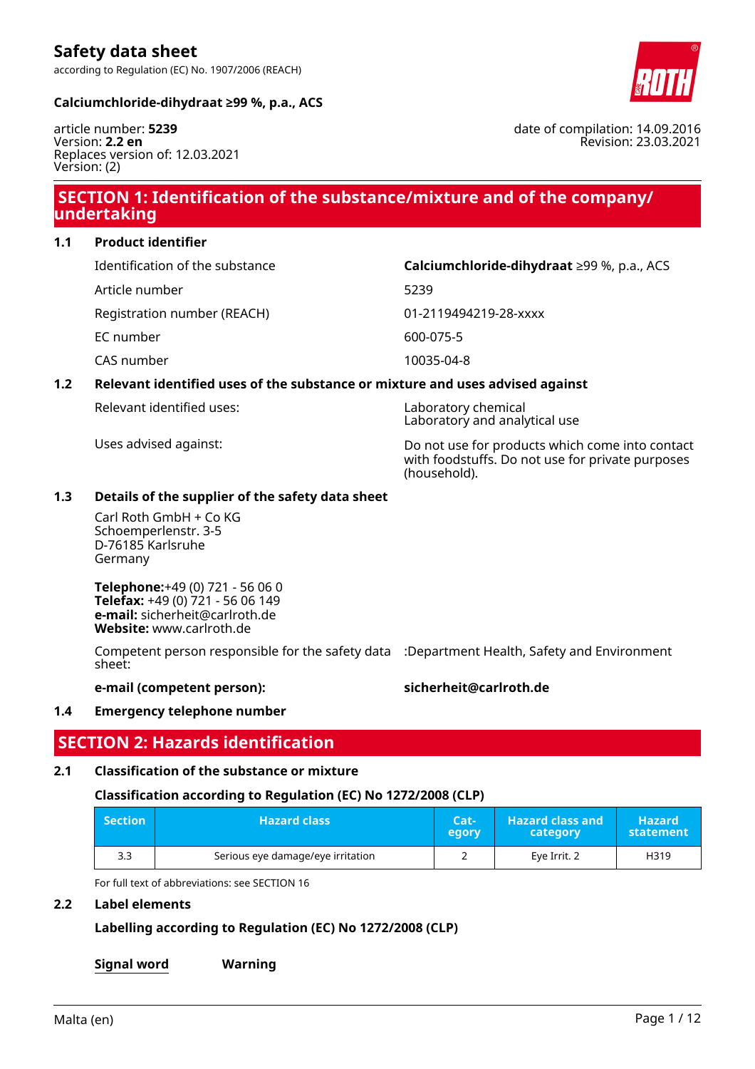according to Regulation (EC) No. 1907/2006 (REACH)



#### **Calciumchloride-dihydraat ≥99 %, p.a., ACS**

article number: **5239** Version: **2.2 en** Replaces version of: 12.03.2021 Version: (2)

# **SECTION 1: Identification of the substance/mixture and of the company/ undertaking**

**1.1 Product identifier**

Identification of the substance **Calciumchloride-dihydraat** ≥99 %, p.a., ACS

Article number 5239

Registration number (REACH) 01-2119494219-28-xxxx

EC number 600-075-5

CAS number 10035-04-8

## **1.2 Relevant identified uses of the substance or mixture and uses advised against**

Relevant identified uses: Laboratory chemical

Uses advised against: Do not use for products which come into contact with foodstuffs. Do not use for private purposes (household).

Laboratory and analytical use

### **1.3 Details of the supplier of the safety data sheet**

Carl Roth GmbH + Co KG Schoemperlenstr. 3-5 D-76185 Karlsruhe Germany

**Telephone:**+49 (0) 721 - 56 06 0 **Telefax:** +49 (0) 721 - 56 06 149 **e-mail:** sicherheit@carlroth.de **Website:** www.carlroth.de

Competent person responsible for the safety data :Department Health, Safety and Environment sheet:

#### **e-mail (competent person): sicherheit@carlroth.de**

## **1.4 Emergency telephone number**

## **SECTION 2: Hazards identification**

## **2.1 Classification of the substance or mixture**

#### **Classification according to Regulation (EC) No 1272/2008 (CLP)**

| Section <sup>1</sup> | <b>Hazard class</b>               | Cat-<br>egory | <b>Hazard class and</b><br>category | <b>Hazard</b><br>statement |
|----------------------|-----------------------------------|---------------|-------------------------------------|----------------------------|
| 3.3                  | Serious eye damage/eye irritation |               | Eve Irrit. 2                        | H319                       |

For full text of abbreviations: see SECTION 16

### **2.2 Label elements**

**Labelling according to Regulation (EC) No 1272/2008 (CLP)**

**Signal word Warning**

date of compilation: 14.09.2016 Revision: 23.03.2021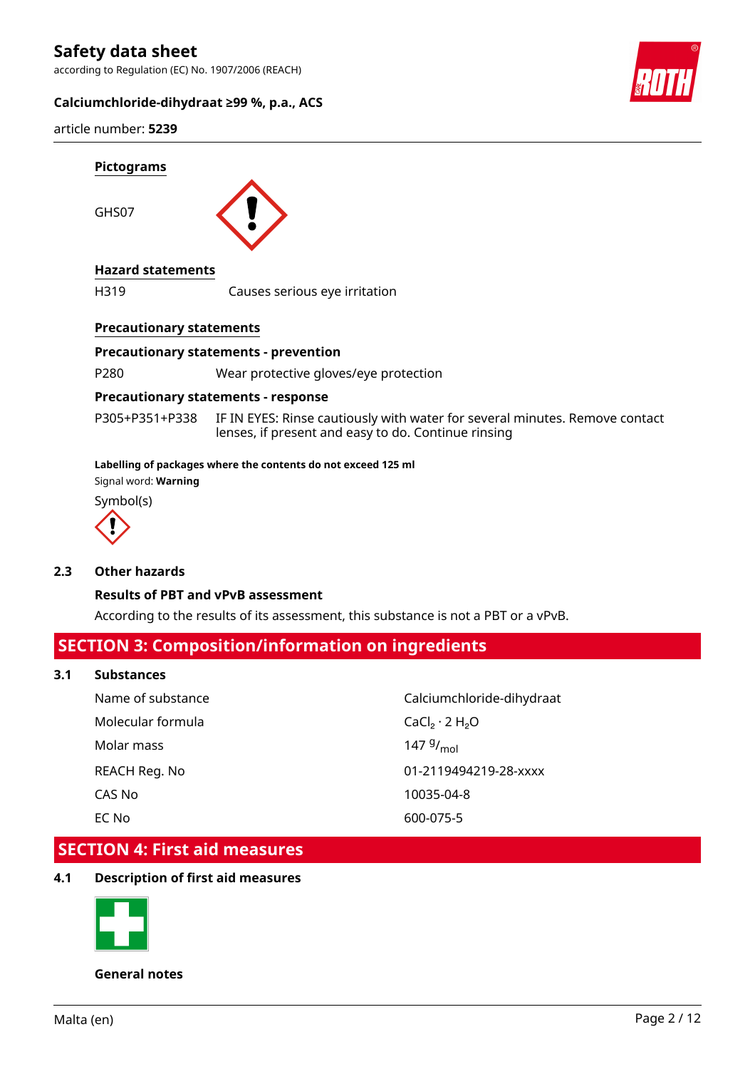according to Regulation (EC) No. 1907/2006 (REACH)

#### **Calciumchloride-dihydraat ≥99 %, p.a., ACS**



article number: **5239**



## **Precautionary statements**

#### **Precautionary statements - prevention**

P280 Wear protective gloves/eye protection

#### **Precautionary statements - response**

P305+P351+P338 IF IN EYES: Rinse cautiously with water for several minutes. Remove contact lenses, if present and easy to do. Continue rinsing

#### **Labelling of packages where the contents do not exceed 125 ml**

Signal word: **Warning**

Symbol(s)



#### **2.3 Other hazards**

#### **Results of PBT and vPvB assessment**

According to the results of its assessment, this substance is not a PBT or a vPvB.

## **SECTION 3: Composition/information on ingredients**

#### **3.1 Substances**

| Name of substance | Calciumchloride-dihydraat |
|-------------------|---------------------------|
| Molecular formula | $CaCl2 \cdot 2 H2O$       |
| Molar mass        | 147 $9/_{\text{mol}}$     |
| REACH Reg. No     | 01-2119494219-28-xxxx     |
| CAS No            | 10035-04-8                |
| EC No             | 600-075-5                 |

## **SECTION 4: First aid measures**

### **4.1 Description of first aid measures**



**General notes**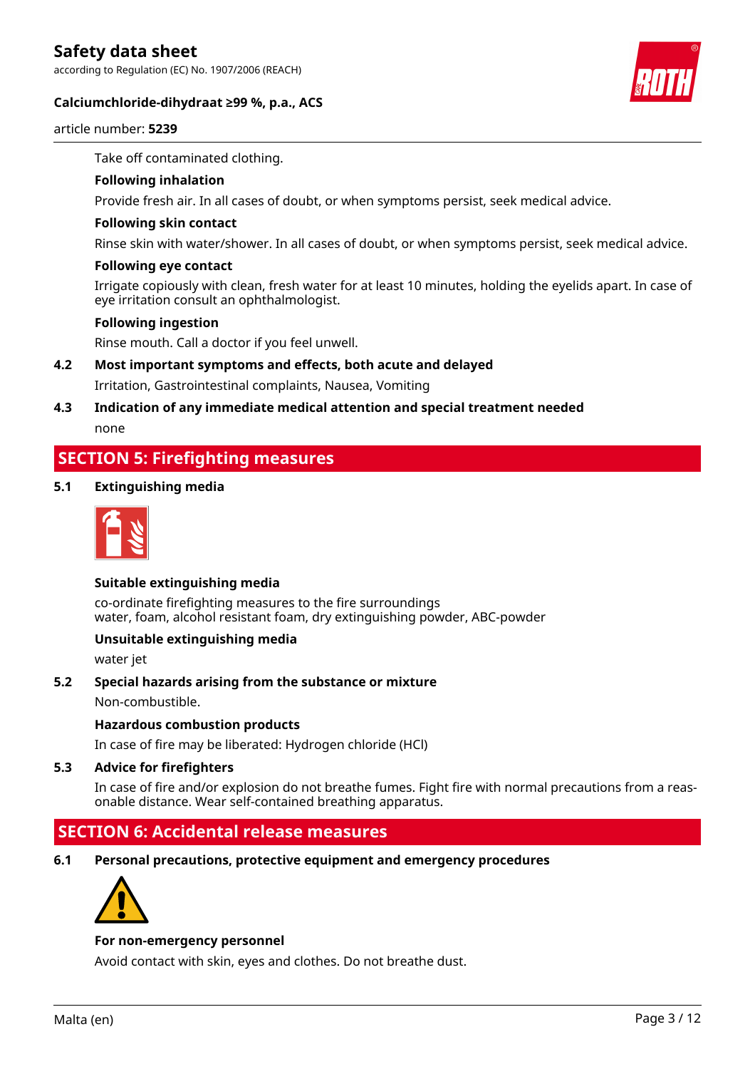according to Regulation (EC) No. 1907/2006 (REACH)





article number: **5239**

Take off contaminated clothing.

#### **Following inhalation**

Provide fresh air. In all cases of doubt, or when symptoms persist, seek medical advice.

#### **Following skin contact**

Rinse skin with water/shower. In all cases of doubt, or when symptoms persist, seek medical advice.

#### **Following eye contact**

Irrigate copiously with clean, fresh water for at least 10 minutes, holding the eyelids apart. In case of eye irritation consult an ophthalmologist.

#### **Following ingestion**

Rinse mouth. Call a doctor if you feel unwell.

### **4.2 Most important symptoms and effects, both acute and delayed**

Irritation, Gastrointestinal complaints, Nausea, Vomiting

# **4.3 Indication of any immediate medical attention and special treatment needed**

none

## **SECTION 5: Firefighting measures**

#### **5.1 Extinguishing media**



#### **Suitable extinguishing media**

co-ordinate firefighting measures to the fire surroundings water, foam, alcohol resistant foam, dry extinguishing powder, ABC-powder

#### **Unsuitable extinguishing media**

water jet

#### **5.2 Special hazards arising from the substance or mixture**

Non-combustible.

#### **Hazardous combustion products**

In case of fire may be liberated: Hydrogen chloride (HCl)

#### **5.3 Advice for firefighters**

In case of fire and/or explosion do not breathe fumes. Fight fire with normal precautions from a reasonable distance. Wear self-contained breathing apparatus.

## **SECTION 6: Accidental release measures**

**6.1 Personal precautions, protective equipment and emergency procedures**



#### **For non-emergency personnel**

Avoid contact with skin, eyes and clothes. Do not breathe dust.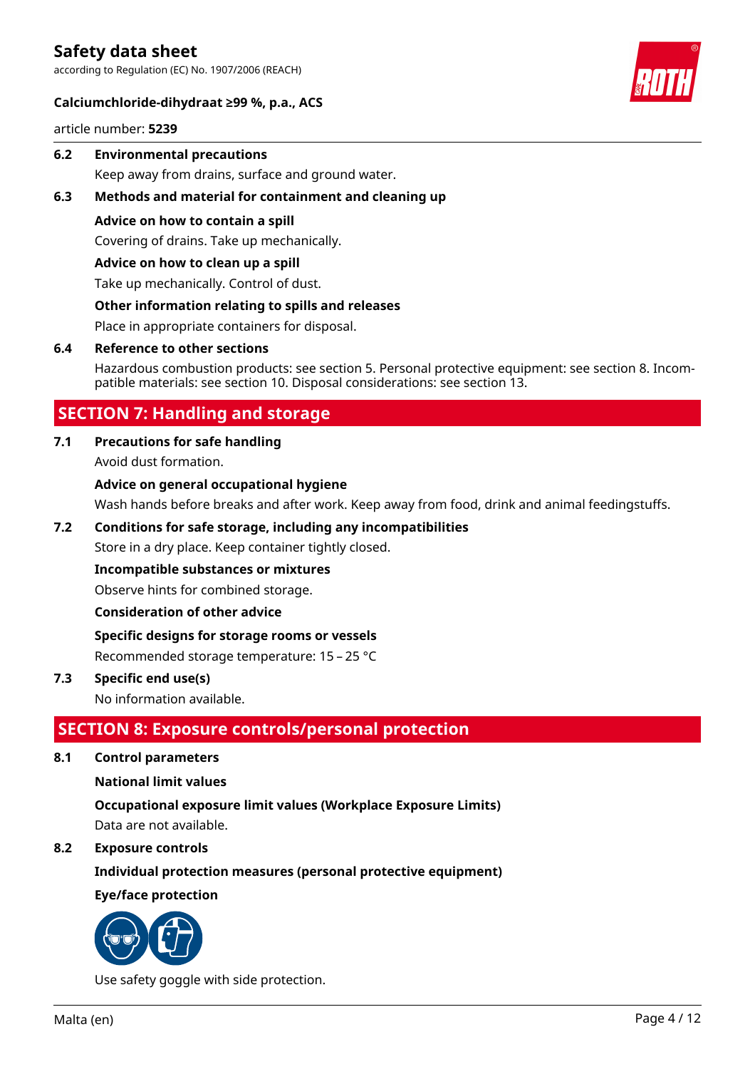according to Regulation (EC) No. 1907/2006 (REACH)

#### **Calciumchloride-dihydraat ≥99 %, p.a., ACS**

article number: **5239**

- **6.2 Environmental precautions** Keep away from drains, surface and ground water.
- **6.3 Methods and material for containment and cleaning up**
	- **Advice on how to contain a spill**

Covering of drains. Take up mechanically.

#### **Advice on how to clean up a spill**

Take up mechanically. Control of dust.

### **Other information relating to spills and releases**

Place in appropriate containers for disposal.

#### **6.4 Reference to other sections**

Hazardous combustion products: see section 5. Personal protective equipment: see section 8. Incompatible materials: see section 10. Disposal considerations: see section 13.

# **SECTION 7: Handling and storage**

## **7.1 Precautions for safe handling**

Avoid dust formation.

### **Advice on general occupational hygiene**

Wash hands before breaks and after work. Keep away from food, drink and animal feedingstuffs.

#### **7.2 Conditions for safe storage, including any incompatibilities**

Store in a dry place. Keep container tightly closed.

#### **Incompatible substances or mixtures**

Observe hints for combined storage.

**Consideration of other advice**

## **Specific designs for storage rooms or vessels**

Recommended storage temperature: 15 – 25 °C

## **7.3 Specific end use(s)**

No information available.

# **SECTION 8: Exposure controls/personal protection**

**8.1 Control parameters**

#### **National limit values**

**Occupational exposure limit values (Workplace Exposure Limits)** Data are not available.

#### **8.2 Exposure controls**

**Individual protection measures (personal protective equipment)**

## **Eye/face protection**



Use safety goggle with side protection.

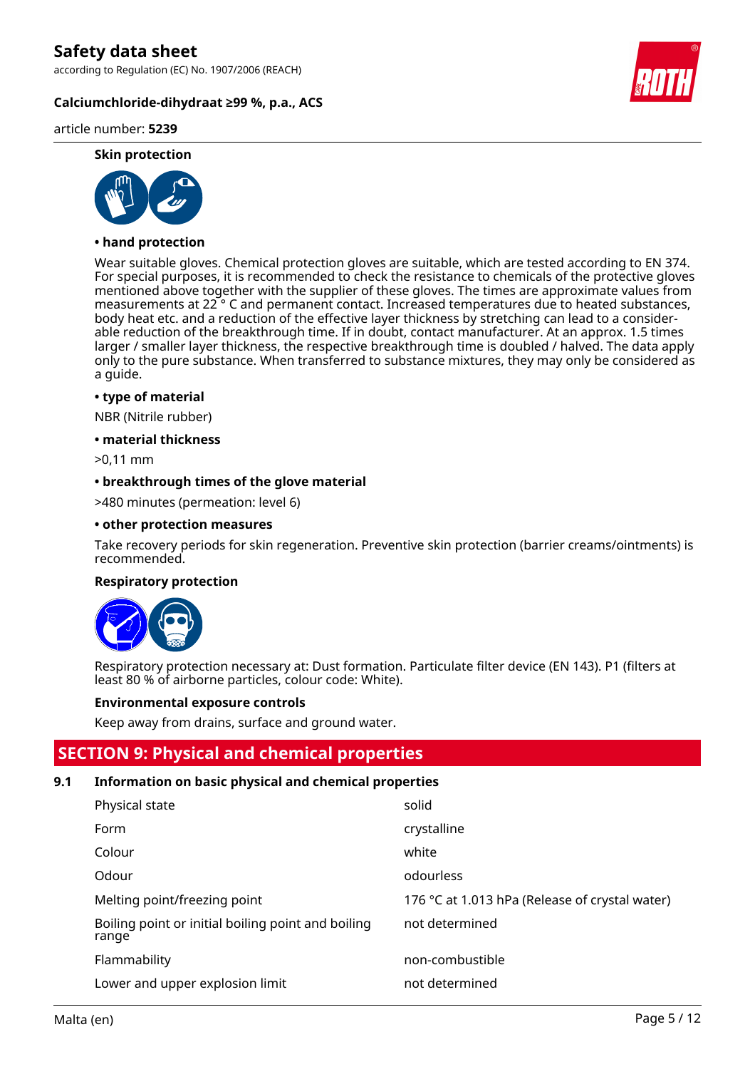according to Regulation (EC) No. 1907/2006 (REACH)

**Calciumchloride-dihydraat ≥99 %, p.a., ACS**

## article number: **5239**

#### **Skin protection**



## **• hand protection**

Wear suitable gloves. Chemical protection gloves are suitable, which are tested according to EN 374. For special purposes, it is recommended to check the resistance to chemicals of the protective gloves mentioned above together with the supplier of these gloves. The times are approximate values from measurements at 22 ° C and permanent contact. Increased temperatures due to heated substances, body heat etc. and a reduction of the effective layer thickness by stretching can lead to a considerable reduction of the breakthrough time. If in doubt, contact manufacturer. At an approx. 1.5 times larger / smaller layer thickness, the respective breakthrough time is doubled / halved. The data apply only to the pure substance. When transferred to substance mixtures, they may only be considered as a guide.

#### **• type of material**

NBR (Nitrile rubber)

#### **• material thickness**

>0,11 mm

#### **• breakthrough times of the glove material**

>480 minutes (permeation: level 6)

#### **• other protection measures**

Take recovery periods for skin regeneration. Preventive skin protection (barrier creams/ointments) is recommended.

#### **Respiratory protection**



Respiratory protection necessary at: Dust formation. Particulate filter device (EN 143). P1 (filters at least 80 % of airborne particles, colour code: White).

#### **Environmental exposure controls**

Keep away from drains, surface and ground water.

## **SECTION 9: Physical and chemical properties**

#### **9.1 Information on basic physical and chemical properties**

| Physical state                                              | solid                                          |
|-------------------------------------------------------------|------------------------------------------------|
| Form                                                        | crystalline                                    |
| Colour                                                      | white                                          |
| Odour                                                       | odourless                                      |
| Melting point/freezing point                                | 176 °C at 1.013 hPa (Release of crystal water) |
| Boiling point or initial boiling point and boiling<br>range | not determined                                 |
| Flammability                                                | non-combustible                                |
| Lower and upper explosion limit                             | not determined                                 |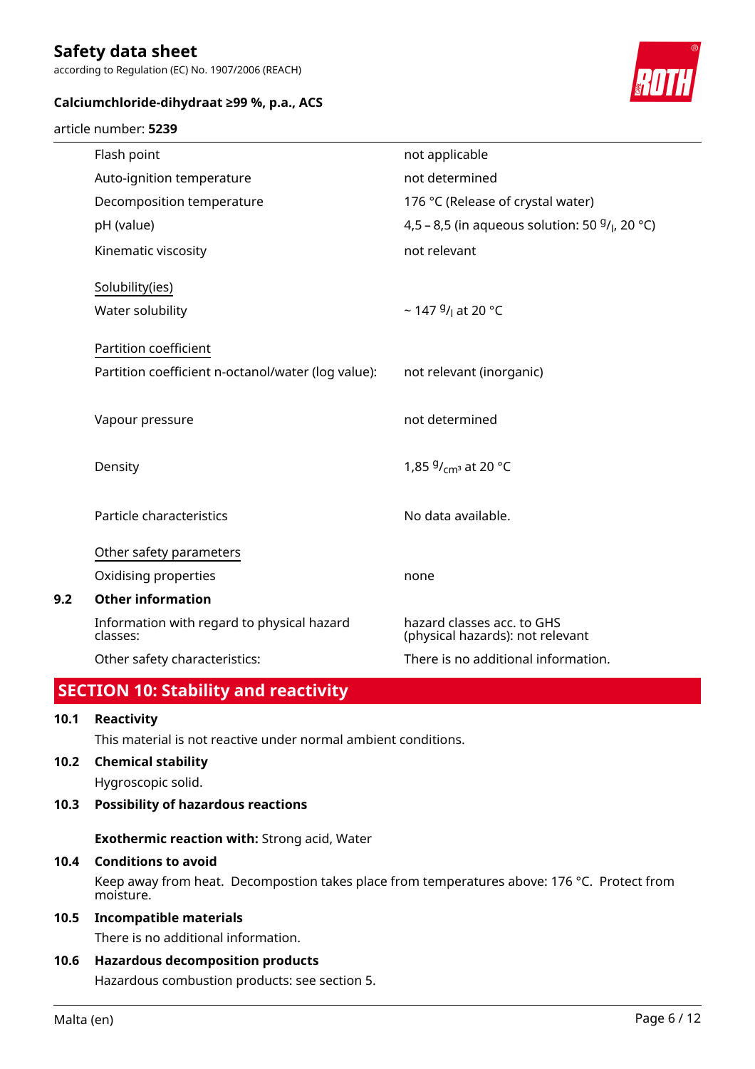according to Regulation (EC) No. 1907/2006 (REACH)

## **Calciumchloride-dihydraat ≥99 %, p.a., ACS**

#### article number: **5239**



|     | Flash point                                            | not applicable                                                 |
|-----|--------------------------------------------------------|----------------------------------------------------------------|
|     | Auto-ignition temperature                              | not determined                                                 |
|     | Decomposition temperature                              | 176 °C (Release of crystal water)                              |
|     | pH (value)                                             | 4,5 – 8,5 (in aqueous solution: 50 $9/1$ , 20 °C)              |
|     | Kinematic viscosity                                    | not relevant                                                   |
|     | Solubility(ies)                                        |                                                                |
|     | Water solubility                                       | ~ 147 $9/1$ at 20 °C                                           |
|     | Partition coefficient                                  |                                                                |
|     | Partition coefficient n-octanol/water (log value):     | not relevant (inorganic)                                       |
|     |                                                        | not determined                                                 |
|     | Vapour pressure                                        |                                                                |
|     | Density                                                | 1,85 $9/_{cm^3}$ at 20 °C                                      |
|     |                                                        |                                                                |
|     | Particle characteristics                               | No data available.                                             |
|     | Other safety parameters                                |                                                                |
|     | Oxidising properties                                   | none                                                           |
| 9.2 | <b>Other information</b>                               |                                                                |
|     | Information with regard to physical hazard<br>classes: | hazard classes acc. to GHS<br>(physical hazards): not relevant |
|     | Other safety characteristics:                          | There is no additional information.                            |
|     |                                                        |                                                                |

# **SECTION 10: Stability and reactivity**

## **10.1 Reactivity**

This material is not reactive under normal ambient conditions.

#### **10.2 Chemical stability**

Hygroscopic solid.

#### **10.3 Possibility of hazardous reactions**

**Exothermic reaction with:** Strong acid, Water

#### **10.4 Conditions to avoid**

Keep away from heat. Decompostion takes place from temperatures above: 176 °C. Protect from moisture.

## **10.5 Incompatible materials**

There is no additional information.

#### **10.6 Hazardous decomposition products**

Hazardous combustion products: see section 5.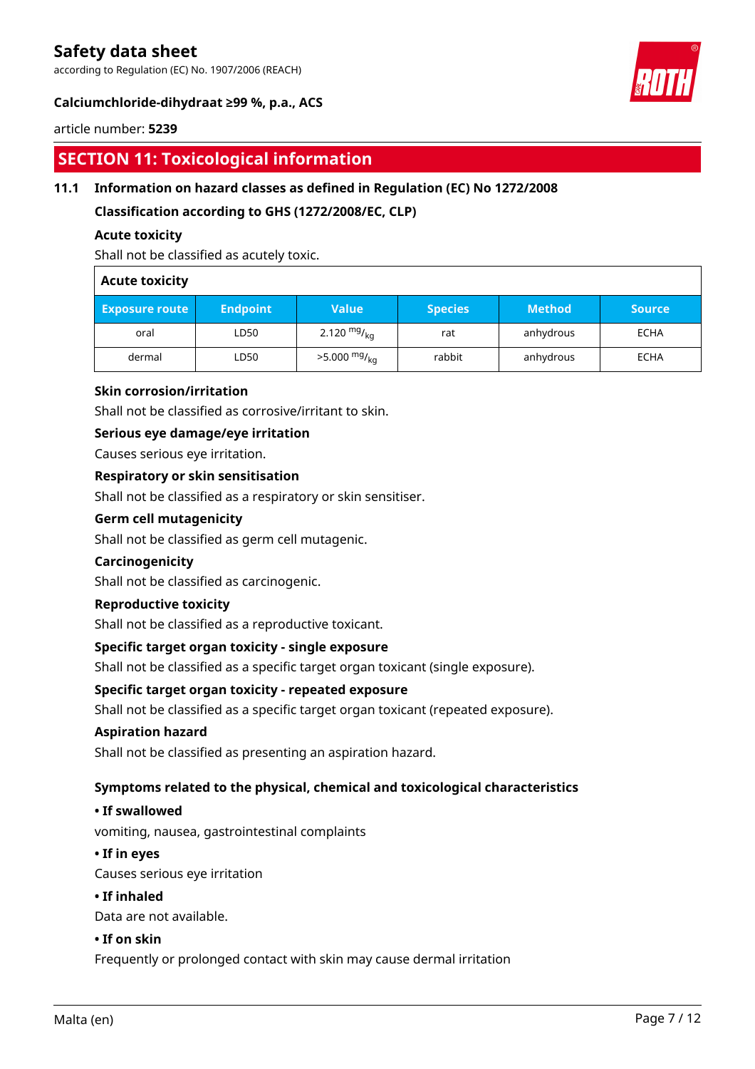according to Regulation (EC) No. 1907/2006 (REACH)



## **Calciumchloride-dihydraat ≥99 %, p.a., ACS**

#### article number: **5239**

# **SECTION 11: Toxicological information**

## **11.1 Information on hazard classes as defined in Regulation (EC) No 1272/2008**

**Classification according to GHS (1272/2008/EC, CLP)**

#### **Acute toxicity**

Shall not be classified as acutely toxic.

### **Acute toxicity**

| <b>Exposure route</b> | <b>Endpoint</b> | Value                      | <b>Species</b> | <b>Method</b> | <b>Source</b> |
|-----------------------|-----------------|----------------------------|----------------|---------------|---------------|
| oral                  | LD50            | 2.120 $mg/_{ka}$           | rat            | anhydrous     | <b>ECHA</b>   |
| dermal                | LD50            | $>5.000$ mg/ <sub>ka</sub> | rabbit         | anhydrous     | <b>ECHA</b>   |

### **Skin corrosion/irritation**

Shall not be classified as corrosive/irritant to skin.

#### **Serious eye damage/eye irritation**

Causes serious eye irritation.

#### **Respiratory or skin sensitisation**

Shall not be classified as a respiratory or skin sensitiser.

#### **Germ cell mutagenicity**

Shall not be classified as germ cell mutagenic.

#### **Carcinogenicity**

Shall not be classified as carcinogenic.

#### **Reproductive toxicity**

Shall not be classified as a reproductive toxicant.

#### **Specific target organ toxicity - single exposure**

Shall not be classified as a specific target organ toxicant (single exposure).

#### **Specific target organ toxicity - repeated exposure**

Shall not be classified as a specific target organ toxicant (repeated exposure).

#### **Aspiration hazard**

Shall not be classified as presenting an aspiration hazard.

#### **Symptoms related to the physical, chemical and toxicological characteristics**

### **• If swallowed**

vomiting, nausea, gastrointestinal complaints

#### **• If in eyes**

Causes serious eye irritation

#### **• If inhaled**

Data are not available.

#### **• If on skin**

Frequently or prolonged contact with skin may cause dermal irritation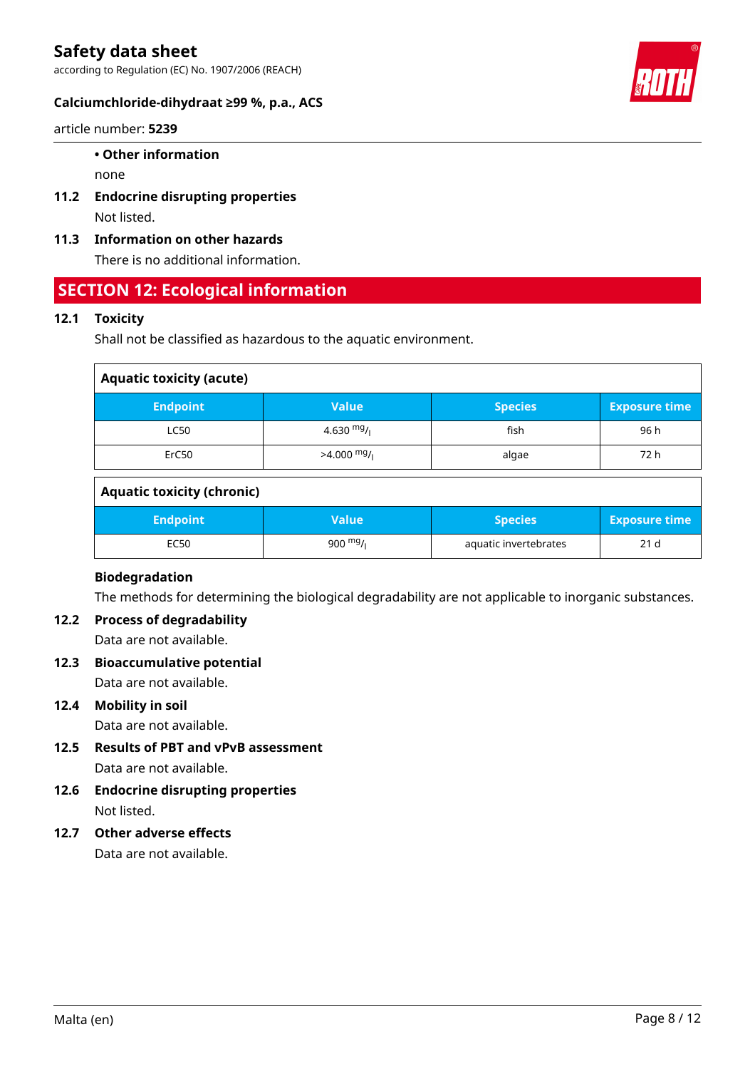according to Regulation (EC) No. 1907/2006 (REACH)



#### article number: **5239**

#### **• Other information**

none

- **11.2 Endocrine disrupting properties** Not listed.
- **11.3 Information on other hazards**

There is no additional information.

## **SECTION 12: Ecological information**

## **12.1 Toxicity**

Shall not be classified as hazardous to the aquatic environment.

| <b>Aquatic toxicity (acute)</b> |              |                |                      |  |
|---------------------------------|--------------|----------------|----------------------|--|
| <b>Endpoint</b>                 | Value        | <b>Species</b> | <b>Exposure time</b> |  |
| <b>LC50</b>                     | 4.630 $mg/1$ | fish           | 96 h                 |  |
| ErC50                           | $>4.000$ mg/ | algae          | 72 h                 |  |

### **Aquatic toxicity (chronic)**

| <b>Endpoint</b> | Value'    | <b>Species</b>        | <b>Exposure time</b> |
|-----------------|-----------|-----------------------|----------------------|
| EC50            | 900 $mg/$ | aquatic invertebrates | 21 <sub>d</sub>      |

## **Biodegradation**

The methods for determining the biological degradability are not applicable to inorganic substances.

## **12.2 Process of degradability**

Data are not available.

**12.3 Bioaccumulative potential** Data are not available.

## **12.4 Mobility in soil**

Data are not available.

- **12.5 Results of PBT and vPvB assessment** Data are not available.
- **12.6 Endocrine disrupting properties** Not listed.

## **12.7 Other adverse effects**

Data are not available.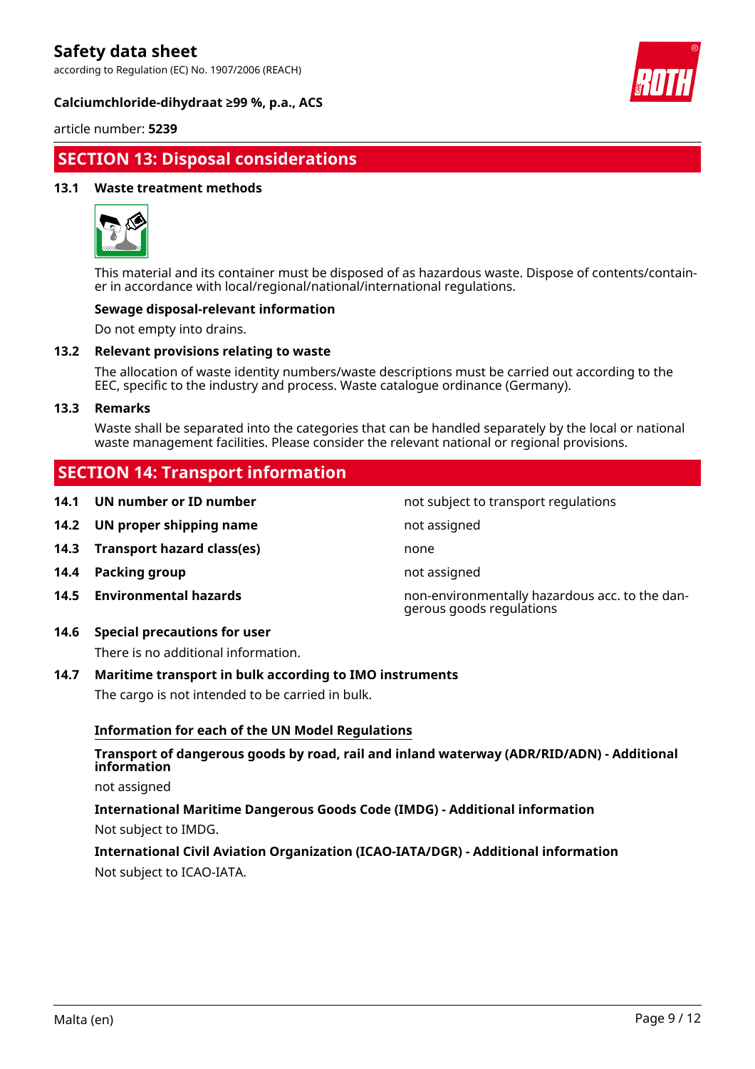according to Regulation (EC) No. 1907/2006 (REACH)





article number: **5239**

# **SECTION 13: Disposal considerations**

#### **13.1 Waste treatment methods**



This material and its container must be disposed of as hazardous waste. Dispose of contents/container in accordance with local/regional/national/international regulations.

#### **Sewage disposal-relevant information**

Do not empty into drains.

#### **13.2 Relevant provisions relating to waste**

The allocation of waste identity numbers/waste descriptions must be carried out according to the EEC, specific to the industry and process. Waste catalogue ordinance (Germany).

#### **13.3 Remarks**

Waste shall be separated into the categories that can be handled separately by the local or national waste management facilities. Please consider the relevant national or regional provisions.

## **SECTION 14: Transport information**

- **14.1 UN number or ID number not subject to transport regulations**
- **14.2 UN proper shipping name not assigned not** assigned
- **14.3 Transport hazard class(es)** none
- **14.4 Packing group not assigned**
- 
- **14.6 Special precautions for user**

There is no additional information.

#### **14.7 Maritime transport in bulk according to IMO instruments**

The cargo is not intended to be carried in bulk.

#### **Information for each of the UN Model Regulations**

### **Transport of dangerous goods by road, rail and inland waterway (ADR/RID/ADN) - Additional information**

not assigned

**International Maritime Dangerous Goods Code (IMDG) - Additional information** Not subject to IMDG.

## **International Civil Aviation Organization (ICAO-IATA/DGR) - Additional information** Not subject to ICAO-IATA.

**14.5 Environmental hazards** non-environmentally hazardous acc. to the dangerous goods regulations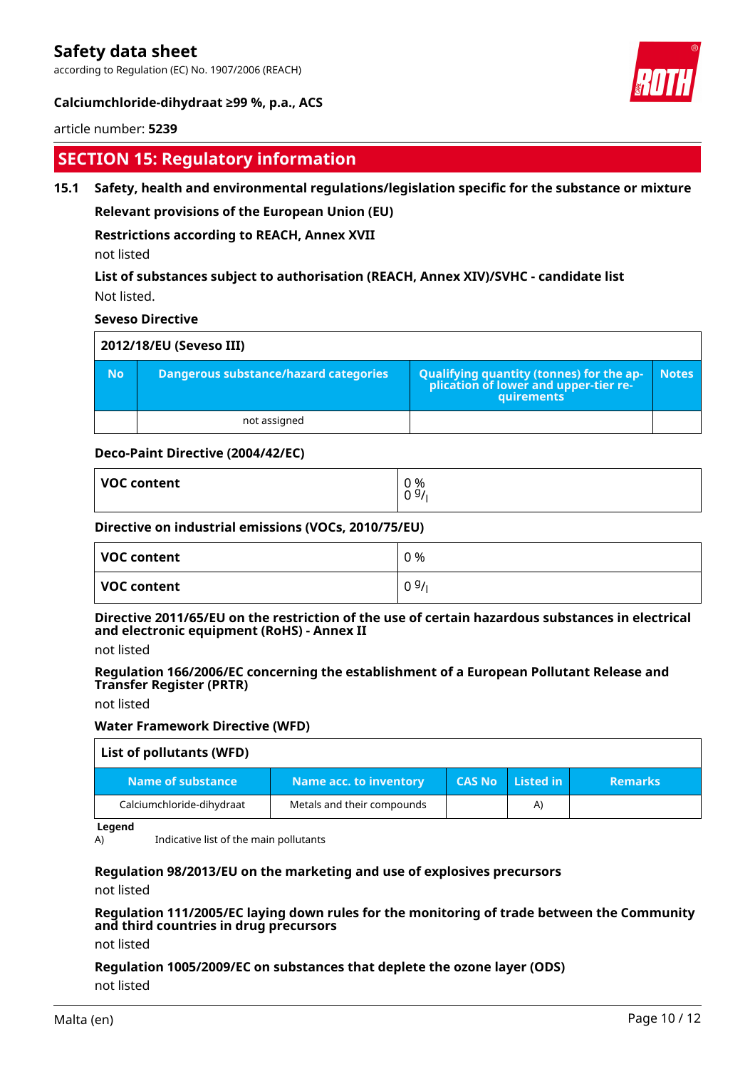according to Regulation (EC) No. 1907/2006 (REACH)



### **Calciumchloride-dihydraat ≥99 %, p.a., ACS**

#### article number: **5239**

# **SECTION 15: Regulatory information**

#### **15.1 Safety, health and environmental regulations/legislation specific for the substance or mixture**

**Relevant provisions of the European Union (EU)**

#### **Restrictions according to REACH, Annex XVII**

not listed

## **List of substances subject to authorisation (REACH, Annex XIV)/SVHC - candidate list** Not listed.

#### **Seveso Directive**

| 2012/18/EU (Seveso III) |                                       |                                                                                                    |              |
|-------------------------|---------------------------------------|----------------------------------------------------------------------------------------------------|--------------|
| <b>No</b>               | Dangerous substance/hazard categories | Qualifying quantity (tonnes) for the ap-<br> - plication of lower and upper-tier re-<br>quirements | <b>Notes</b> |
|                         | not assigned                          |                                                                                                    |              |

#### **Deco-Paint Directive (2004/42/EC)**

| <b>VOC content</b> | 0 %<br>0.91<br>υ |
|--------------------|------------------|
|                    |                  |

#### **Directive on industrial emissions (VOCs, 2010/75/EU)**

| VOC content        | 0 % |
|--------------------|-----|
| <b>VOC content</b> | 09/ |

### **Directive 2011/65/EU on the restriction of the use of certain hazardous substances in electrical and electronic equipment (RoHS) - Annex II**

not listed

#### **Regulation 166/2006/EC concerning the establishment of a European Pollutant Release and Transfer Register (PRTR)**

not listed

#### **Water Framework Directive (WFD)**

| List of pollutants (WFD)  |                            |               |                          |                |
|---------------------------|----------------------------|---------------|--------------------------|----------------|
| Name of substance         | Name acc. to inventory     | <b>CAS No</b> | $\blacksquare$ Listed in | <b>Remarks</b> |
| Calciumchloride-dihydraat | Metals and their compounds |               | $\mathsf{A}$             |                |

**Legend**

A) Indicative list of the main pollutants

#### **Regulation 98/2013/EU on the marketing and use of explosives precursors**

not listed

#### **Regulation 111/2005/EC laying down rules for the monitoring of trade between the Community and third countries in drug precursors**

not listed

#### **Regulation 1005/2009/EC on substances that deplete the ozone layer (ODS)**

not listed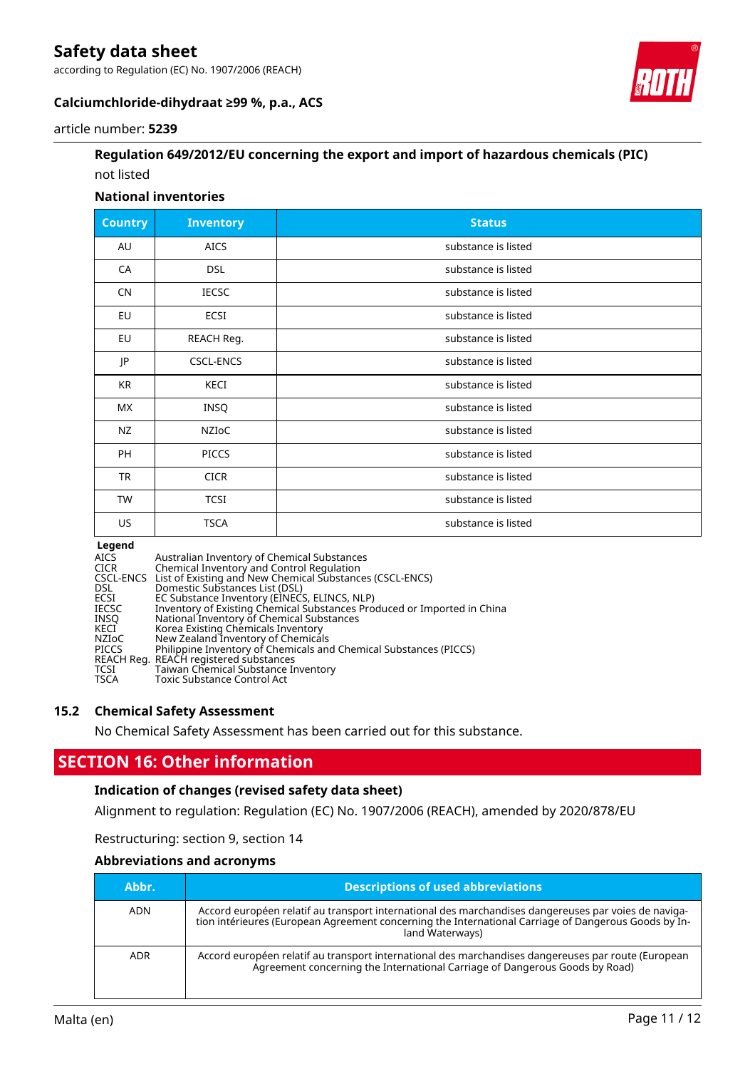according to Regulation (EC) No. 1907/2006 (REACH)



## **Calciumchloride-dihydraat ≥99 %, p.a., ACS**

#### article number: **5239**

## **Regulation 649/2012/EU concerning the export and import of hazardous chemicals (PIC)** not listed

#### **National inventories**

| <b>Country</b> | <b>Inventory</b> | <b>Status</b>       |
|----------------|------------------|---------------------|
| AU             | <b>AICS</b>      | substance is listed |
| CA             | <b>DSL</b>       | substance is listed |
| <b>CN</b>      | <b>IECSC</b>     | substance is listed |
| EU             | ECSI             | substance is listed |
| EU             | REACH Reg.       | substance is listed |
| JP             | <b>CSCL-ENCS</b> | substance is listed |
| KR             | KECI             | substance is listed |
| МX             | INSQ             | substance is listed |
| NZ             | NZIOC            | substance is listed |
| PH             | <b>PICCS</b>     | substance is listed |
| <b>TR</b>      | <b>CICR</b>      | substance is listed |
| TW             | <b>TCSI</b>      | substance is listed |
| US             | <b>TSCA</b>      | substance is listed |

#### **Legend**

AICS Australian Inventory of Chemical Substances CICR Chemical Inventory and Control Regulation CSCL-ENCS List of Existing and New Chemical Substances (CSCL-ENCS) DSL Domestic Substances List (DSL)<br>ECSI EC Substance Inventory (EINEC:<br>IECSC Inventory of Existing Chemical ! EC Substance Inventory (EINECS, ELINCS, NLP)<br>Inventory of Existing Chemical Substances Produced or Imported in China<br>National Inventory of Chemical Substances IECSC Inventory of Existing Chemical Substances Produced or Imported in China INSQ National Inventory of Chemical Substances KECI Korea Existing Chemicals Inventory NZIoC New Zealand Inventory of Chemicals PICCS Philippine Inventory of Chemicals and Chemical Substances (PICCS) REACH Reg. REACH registered substances TCSI Taiwan Chemical Substance Inventory TSCA Toxic Substance Control Act

#### **15.2 Chemical Safety Assessment**

No Chemical Safety Assessment has been carried out for this substance.

## **SECTION 16: Other information**

## **Indication of changes (revised safety data sheet)**

Alignment to regulation: Regulation (EC) No. 1907/2006 (REACH), amended by 2020/878/EU

Restructuring: section 9, section 14

#### **Abbreviations and acronyms**

| Abbr.      | <b>Descriptions of used abbreviations</b>                                                                                                                                                                                       |
|------------|---------------------------------------------------------------------------------------------------------------------------------------------------------------------------------------------------------------------------------|
| <b>ADN</b> | Accord européen relatif au transport international des marchandises dangereuses par voies de naviga-<br>tion intérieures (European Agreement concerning the International Carriage of Dangerous Goods by In-<br>land Waterways) |
| <b>ADR</b> | Accord européen relatif au transport international des marchandises dangereuses par route (European<br>Agreement concerning the International Carriage of Dangerous Goods by Road)                                              |